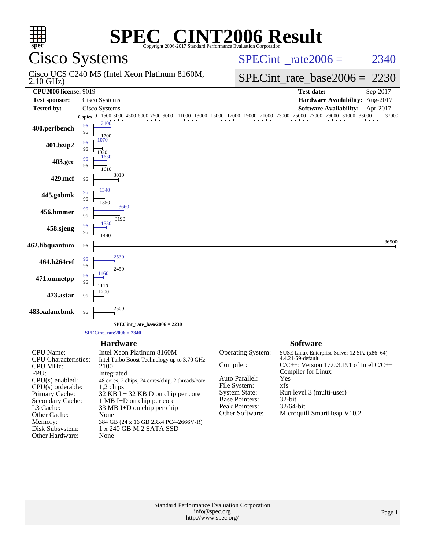| $spec^*$                                                                                                                                                                                                                            |                                |                                   | <b>SPEC<sup>®</sup> CINT2006 Result</b><br>Copyright 2006-2017 Standard Performance Evaluation Corporation                                                                                                                                                                                                     |                                                                                                                                                        |  |                                                                                                                                                                                                                                         |          |  |
|-------------------------------------------------------------------------------------------------------------------------------------------------------------------------------------------------------------------------------------|--------------------------------|-----------------------------------|----------------------------------------------------------------------------------------------------------------------------------------------------------------------------------------------------------------------------------------------------------------------------------------------------------------|--------------------------------------------------------------------------------------------------------------------------------------------------------|--|-----------------------------------------------------------------------------------------------------------------------------------------------------------------------------------------------------------------------------------------|----------|--|
| Cisco Systems                                                                                                                                                                                                                       |                                |                                   |                                                                                                                                                                                                                                                                                                                |                                                                                                                                                        |  | $SPECint^{\circ}$ rate $2006 =$                                                                                                                                                                                                         | 2340     |  |
| $2.10$ GHz)                                                                                                                                                                                                                         |                                |                                   | Cisco UCS C240 M5 (Intel Xeon Platinum 8160M,                                                                                                                                                                                                                                                                  |                                                                                                                                                        |  | $SPECint_rate_base2006 = 2230$                                                                                                                                                                                                          |          |  |
| <b>CPU2006 license: 9019</b>                                                                                                                                                                                                        |                                |                                   |                                                                                                                                                                                                                                                                                                                |                                                                                                                                                        |  | <b>Test date:</b>                                                                                                                                                                                                                       | Sep-2017 |  |
| <b>Test sponsor:</b>                                                                                                                                                                                                                |                                | Cisco Systems                     |                                                                                                                                                                                                                                                                                                                |                                                                                                                                                        |  | Hardware Availability: Aug-2017                                                                                                                                                                                                         |          |  |
| <b>Tested by:</b>                                                                                                                                                                                                                   |                                | Cisco Systems                     |                                                                                                                                                                                                                                                                                                                |                                                                                                                                                        |  | <b>Software Availability:</b>                                                                                                                                                                                                           | Apr-2017 |  |
| 400.perlbench                                                                                                                                                                                                                       | Copies $ 0 $<br>96<br>96<br>96 | 1700<br>1070                      | 1500 3000 4500 6000 7500 9000<br><u>s a compositor de la compositor de la compositor de la compositor de la compositor de la compositor de la compo</u>                                                                                                                                                        | 11000 13000 15000 17000 19000 21000 23000 25000                                                                                                        |  | 27000<br>29000 31000 33000                                                                                                                                                                                                              | 37000    |  |
| 401.bzip2                                                                                                                                                                                                                           | 96<br>96                       | 1020<br>1630                      |                                                                                                                                                                                                                                                                                                                |                                                                                                                                                        |  |                                                                                                                                                                                                                                         |          |  |
| 403.gcc                                                                                                                                                                                                                             | 96                             | 1610                              |                                                                                                                                                                                                                                                                                                                |                                                                                                                                                        |  |                                                                                                                                                                                                                                         |          |  |
| 429.mcf                                                                                                                                                                                                                             | 96                             |                                   | :3010                                                                                                                                                                                                                                                                                                          |                                                                                                                                                        |  |                                                                                                                                                                                                                                         |          |  |
| 445.gobmk                                                                                                                                                                                                                           | 96<br>96                       | 1340<br>1350                      |                                                                                                                                                                                                                                                                                                                |                                                                                                                                                        |  |                                                                                                                                                                                                                                         |          |  |
| 456.hmmer                                                                                                                                                                                                                           | 96<br>96                       |                                   | 3660<br>3190                                                                                                                                                                                                                                                                                                   |                                                                                                                                                        |  |                                                                                                                                                                                                                                         |          |  |
| 458.sjeng                                                                                                                                                                                                                           | 96<br>96                       | 1550<br>1440                      |                                                                                                                                                                                                                                                                                                                |                                                                                                                                                        |  |                                                                                                                                                                                                                                         |          |  |
| 462.libquantum                                                                                                                                                                                                                      | 96                             |                                   |                                                                                                                                                                                                                                                                                                                |                                                                                                                                                        |  |                                                                                                                                                                                                                                         | 36500    |  |
| 464.h264ref                                                                                                                                                                                                                         | 96<br>96                       |                                   | 2530<br>2450                                                                                                                                                                                                                                                                                                   |                                                                                                                                                        |  |                                                                                                                                                                                                                                         |          |  |
| 471.omnetpp                                                                                                                                                                                                                         | 96<br>96                       | 1160<br>1110                      |                                                                                                                                                                                                                                                                                                                |                                                                                                                                                        |  |                                                                                                                                                                                                                                         |          |  |
| 473.astar                                                                                                                                                                                                                           | 96                             | 1200                              |                                                                                                                                                                                                                                                                                                                |                                                                                                                                                        |  |                                                                                                                                                                                                                                         |          |  |
| 483.xalancbmk                                                                                                                                                                                                                       | 96                             |                                   | 2500                                                                                                                                                                                                                                                                                                           |                                                                                                                                                        |  |                                                                                                                                                                                                                                         |          |  |
| SPECint rate base $2006 = 2230$<br>$SPECint_rate2006 = 2340$                                                                                                                                                                        |                                |                                   |                                                                                                                                                                                                                                                                                                                |                                                                                                                                                        |  |                                                                                                                                                                                                                                         |          |  |
|                                                                                                                                                                                                                                     |                                |                                   | <b>Hardware</b>                                                                                                                                                                                                                                                                                                |                                                                                                                                                        |  | <b>Software</b>                                                                                                                                                                                                                         |          |  |
| <b>CPU</b> Name:<br>CPU Characteristics:<br><b>CPU MHz:</b><br>FPU:<br>$CPU(s)$ enabled:<br>$CPU(s)$ orderable:<br>Primary Cache:<br>Secondary Cache:<br>L3 Cache:<br>Other Cache:<br>Memory:<br>Disk Subsystem:<br>Other Hardware: |                                | 2100<br>1,2 chips<br>None<br>None | Intel Xeon Platinum 8160M<br>Intel Turbo Boost Technology up to 3.70 GHz<br>Integrated<br>48 cores, 2 chips, 24 cores/chip, 2 threads/core<br>32 KB I + 32 KB D on chip per core<br>1 MB I+D on chip per core<br>33 MB I+D on chip per chip<br>384 GB (24 x 16 GB 2Rx4 PC4-2666V-R)<br>1 x 240 GB M.2 SATA SSD | Operating System:<br>Compiler:<br>Auto Parallel:<br>File System:<br><b>System State:</b><br><b>Base Pointers:</b><br>Peak Pointers:<br>Other Software: |  | SUSE Linux Enterprise Server 12 SP2 (x86_64)<br>4.4.21-69-default<br>$C/C++$ : Version 17.0.3.191 of Intel $C/C++$<br>Compiler for Linux<br>Yes<br>xfs<br>Run level 3 (multi-user)<br>32-bit<br>32/64-bit<br>Microquill SmartHeap V10.2 |          |  |
|                                                                                                                                                                                                                                     |                                |                                   | Standard Performance Evaluation Corporation                                                                                                                                                                                                                                                                    | info@spec.org<br>http://www.spec.org/                                                                                                                  |  |                                                                                                                                                                                                                                         | Page 1   |  |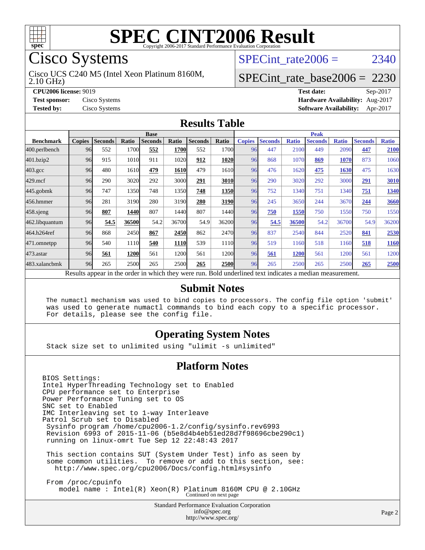

# Cisco Systems

2.10 GHz) Cisco UCS C240 M5 (Intel Xeon Platinum 8160M, SPECint rate  $2006 = 2340$ 

#### [SPECint\\_rate\\_base2006 =](http://www.spec.org/auto/cpu2006/Docs/result-fields.html#SPECintratebase2006) 2230

**[CPU2006 license:](http://www.spec.org/auto/cpu2006/Docs/result-fields.html#CPU2006license)** 9019 **[Test date:](http://www.spec.org/auto/cpu2006/Docs/result-fields.html#Testdate)** Sep-2017 **[Test sponsor:](http://www.spec.org/auto/cpu2006/Docs/result-fields.html#Testsponsor)** Cisco Systems **[Hardware Availability:](http://www.spec.org/auto/cpu2006/Docs/result-fields.html#HardwareAvailability)** Aug-2017 **[Tested by:](http://www.spec.org/auto/cpu2006/Docs/result-fields.html#Testedby)** Cisco Systems **[Software Availability:](http://www.spec.org/auto/cpu2006/Docs/result-fields.html#SoftwareAvailability)** Apr-2017

#### **[Results Table](http://www.spec.org/auto/cpu2006/Docs/result-fields.html#ResultsTable)**

|                                                                                                          | <b>Base</b>   |                |       |                |             |                |       | <b>Peak</b>   |                |              |                |              |                |              |
|----------------------------------------------------------------------------------------------------------|---------------|----------------|-------|----------------|-------------|----------------|-------|---------------|----------------|--------------|----------------|--------------|----------------|--------------|
| <b>Benchmark</b>                                                                                         | <b>Copies</b> | <b>Seconds</b> | Ratio | <b>Seconds</b> | Ratio       | <b>Seconds</b> | Ratio | <b>Copies</b> | <b>Seconds</b> | <b>Ratio</b> | <b>Seconds</b> | <b>Ratio</b> | <b>Seconds</b> | <b>Ratio</b> |
| 400.perlbench                                                                                            | 96            | 552            | 1700  | 552            | 1700        | 552            | 1700l | 96            | 447            | 2100         | 449            | 2090         | 447            | 2100         |
| 401.bzip2                                                                                                | 96            | 915            | 1010  | 911            | 1020        | 912            | 1020  | 96            | 868            | 1070         | 869            | 1070         | 873            | 1060         |
| $403.\mathrm{gcc}$                                                                                       | 96            | 480            | 1610  | 479            | 1610        | 479            | 1610l | 96            | 476            | 1620         | 475            | 1630         | 475            | 1630         |
| $429$ .mcf                                                                                               | 96            | 290            | 3020  | 292            | 3000        | 291            | 3010  | 96            | 290            | 3020         | 292            | 3000         | 291            | 3010         |
| $445$ .gobmk                                                                                             | 96            | 747            | 1350  | 748            | 1350        | 748            | 1350  | 96            | 752            | 1340         | 751            | 1340         | 751            | 1340         |
| 456.hmmer                                                                                                | 96            | 281            | 3190  | 280            | 3190        | 280            | 3190  | 96            | 245            | 3650         | 244            | 3670         | 244            | 3660         |
| $458$ .sjeng                                                                                             | 96            | 807            | 1440  | 807            | 1440        | 807            | 1440  | 96            | 750            | 1550         | 750            | 1550         | 750            | 1550         |
| 462.libquantum                                                                                           | 96            | 54.5           | 36500 | 54.2           | 36700       | 54.9           | 36200 | 96            | 54.5           | 36500        | 54.2           | 36700        | 54.9           | 36200        |
| 464.h264ref                                                                                              | 96            | 868            | 2450  | 867            | 2450        | 862            | 2470  | 96            | 837            | 2540         | 844            | 2520         | 841            | 2530         |
| 471.omnetpp                                                                                              | 96            | 540            | 1110  | 540            | <b>1110</b> | 539            | 1110  | 96            | 519            | 1160         | 518            | 1160         | 518            | 1160         |
| $473$ . astar                                                                                            | 96            | 561            | 1200  | 561            | 1200        | 561            | 12001 | 96            | 561            | 1200         | 561            | 1200         | 561            | 1200         |
| 483.xalancbmk                                                                                            | 96            | 265            | 2500  | 265            | 2500        | 265            | 2500  | 96            | 265            | 2500         | 265            | 2500         | 265            | 2500         |
| Results appear in the order in which they were run. Bold underlined text indicates a median measurement. |               |                |       |                |             |                |       |               |                |              |                |              |                |              |

#### **[Submit Notes](http://www.spec.org/auto/cpu2006/Docs/result-fields.html#SubmitNotes)**

 The numactl mechanism was used to bind copies to processors. The config file option 'submit' was used to generate numactl commands to bind each copy to a specific processor. For details, please see the config file.

#### **[Operating System Notes](http://www.spec.org/auto/cpu2006/Docs/result-fields.html#OperatingSystemNotes)**

Stack size set to unlimited using "ulimit -s unlimited"

#### **[Platform Notes](http://www.spec.org/auto/cpu2006/Docs/result-fields.html#PlatformNotes)**

BIOS Settings: Intel HyperThreading Technology set to Enabled CPU performance set to Enterprise Power Performance Tuning set to OS SNC set to Enabled IMC Interleaving set to 1-way Interleave Patrol Scrub set to Disabled Sysinfo program /home/cpu2006-1.2/config/sysinfo.rev6993 Revision 6993 of 2015-11-06 (b5e8d4b4eb51ed28d7f98696cbe290c1) running on linux-omrt Tue Sep 12 22:48:43 2017 This section contains SUT (System Under Test) info as seen by some common utilities. To remove or add to this section, see: <http://www.spec.org/cpu2006/Docs/config.html#sysinfo> From /proc/cpuinfo model name : Intel(R) Xeon(R) Platinum 8160M CPU @ 2.10GHz Continued on next page

> Standard Performance Evaluation Corporation [info@spec.org](mailto:info@spec.org) <http://www.spec.org/>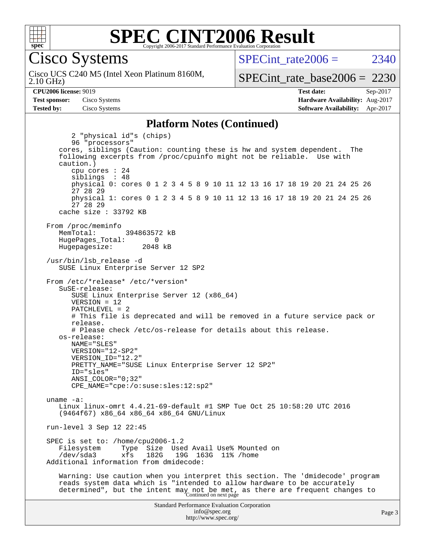

#### **[SPEC CINT2006 Result](http://www.spec.org/auto/cpu2006/Docs/result-fields.html#SPECCINT2006Result)** Copyright 2006-2017 Standard Performance Evaluation Corporation

Cisco Systems

2.10 GHz) Cisco UCS C240 M5 (Intel Xeon Platinum 8160M,  $SPECint rate2006 = 2340$ 

[SPECint\\_rate\\_base2006 =](http://www.spec.org/auto/cpu2006/Docs/result-fields.html#SPECintratebase2006) 2230

**[CPU2006 license:](http://www.spec.org/auto/cpu2006/Docs/result-fields.html#CPU2006license)** 9019 **[Test date:](http://www.spec.org/auto/cpu2006/Docs/result-fields.html#Testdate)** Sep-2017 **[Test sponsor:](http://www.spec.org/auto/cpu2006/Docs/result-fields.html#Testsponsor)** Cisco Systems **[Hardware Availability:](http://www.spec.org/auto/cpu2006/Docs/result-fields.html#HardwareAvailability)** Aug-2017 **[Tested by:](http://www.spec.org/auto/cpu2006/Docs/result-fields.html#Testedby)** Cisco Systems **[Software Availability:](http://www.spec.org/auto/cpu2006/Docs/result-fields.html#SoftwareAvailability)** Apr-2017

#### **[Platform Notes \(Continued\)](http://www.spec.org/auto/cpu2006/Docs/result-fields.html#PlatformNotes)**

Standard Performance Evaluation Corporation [info@spec.org](mailto:info@spec.org) 2 "physical id"s (chips) 96 "processors" cores, siblings (Caution: counting these is hw and system dependent. The following excerpts from /proc/cpuinfo might not be reliable. Use with caution.) cpu cores : 24 siblings : 48 physical 0: cores 0 1 2 3 4 5 8 9 10 11 12 13 16 17 18 19 20 21 24 25 26 27 28 29 physical 1: cores 0 1 2 3 4 5 8 9 10 11 12 13 16 17 18 19 20 21 24 25 26 27 28 29 cache size : 33792 KB From /proc/meminfo MemTotal: 394863572 kB HugePages\_Total: 0<br>Hugepagesize: 2048 kB Hugepagesize: /usr/bin/lsb\_release -d SUSE Linux Enterprise Server 12 SP2 From /etc/\*release\* /etc/\*version\* SuSE-release: SUSE Linux Enterprise Server 12 (x86\_64) VERSION = 12 PATCHLEVEL = 2 # This file is deprecated and will be removed in a future service pack or release. # Please check /etc/os-release for details about this release. os-release: NAME="SLES" VERSION="12-SP2" VERSION\_ID="12.2" PRETTY\_NAME="SUSE Linux Enterprise Server 12 SP2" ID="sles" ANSI\_COLOR="0;32" CPE\_NAME="cpe:/o:suse:sles:12:sp2" uname -a: Linux linux-omrt 4.4.21-69-default #1 SMP Tue Oct 25 10:58:20 UTC 2016 (9464f67) x86\_64 x86\_64 x86\_64 GNU/Linux run-level 3 Sep 12 22:45 SPEC is set to: /home/cpu2006-1.2 Filesystem Type Size Used Avail Use% Mounted on<br>
/dev/sda3 xfs 182G 19G 163G 11% /home xfs 182G 19G 163G 11% /home Additional information from dmidecode: Warning: Use caution when you interpret this section. The 'dmidecode' program reads system data which is "intended to allow hardware to be accurately determined", but the intent may not be met, as there are frequent changes to<br>Continued on next page

<http://www.spec.org/>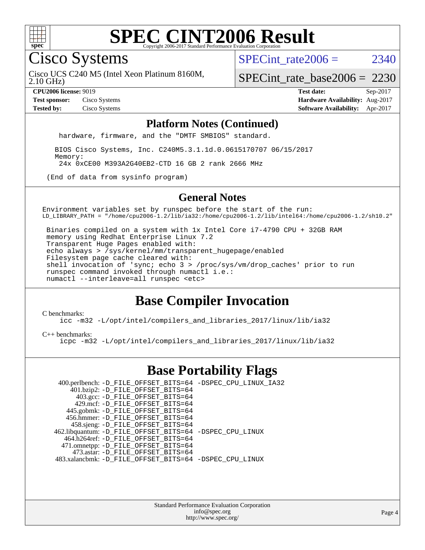

Cisco Systems

SPECint rate  $2006 = 2340$ 

2.10 GHz) Cisco UCS C240 M5 (Intel Xeon Platinum 8160M,

[SPECint\\_rate\\_base2006 =](http://www.spec.org/auto/cpu2006/Docs/result-fields.html#SPECintratebase2006) 2230

**[CPU2006 license:](http://www.spec.org/auto/cpu2006/Docs/result-fields.html#CPU2006license)** 9019 **[Test date:](http://www.spec.org/auto/cpu2006/Docs/result-fields.html#Testdate)** Sep-2017 **[Test sponsor:](http://www.spec.org/auto/cpu2006/Docs/result-fields.html#Testsponsor)** Cisco Systems **[Hardware Availability:](http://www.spec.org/auto/cpu2006/Docs/result-fields.html#HardwareAvailability)** Aug-2017 **[Tested by:](http://www.spec.org/auto/cpu2006/Docs/result-fields.html#Testedby)** Cisco Systems **[Software Availability:](http://www.spec.org/auto/cpu2006/Docs/result-fields.html#SoftwareAvailability)** Apr-2017

#### **[Platform Notes \(Continued\)](http://www.spec.org/auto/cpu2006/Docs/result-fields.html#PlatformNotes)**

hardware, firmware, and the "DMTF SMBIOS" standard.

 BIOS Cisco Systems, Inc. C240M5.3.1.1d.0.0615170707 06/15/2017 Memory: 24x 0xCE00 M393A2G40EB2-CTD 16 GB 2 rank 2666 MHz

(End of data from sysinfo program)

#### **[General Notes](http://www.spec.org/auto/cpu2006/Docs/result-fields.html#GeneralNotes)**

Environment variables set by runspec before the start of the run: LD\_LIBRARY\_PATH = "/home/cpu2006-1.2/lib/ia32:/home/cpu2006-1.2/lib/intel64:/home/cpu2006-1.2/sh10.2"

 Binaries compiled on a system with 1x Intel Core i7-4790 CPU + 32GB RAM memory using Redhat Enterprise Linux 7.2 Transparent Huge Pages enabled with: echo always > /sys/kernel/mm/transparent\_hugepage/enabled Filesystem page cache cleared with: shell invocation of 'sync; echo 3 > /proc/sys/vm/drop\_caches' prior to run runspec command invoked through numactl i.e.: numactl --interleave=all runspec <etc>

### **[Base Compiler Invocation](http://www.spec.org/auto/cpu2006/Docs/result-fields.html#BaseCompilerInvocation)**

[C benchmarks](http://www.spec.org/auto/cpu2006/Docs/result-fields.html#Cbenchmarks):

[icc -m32 -L/opt/intel/compilers\\_and\\_libraries\\_2017/linux/lib/ia32](http://www.spec.org/cpu2006/results/res2017q4/cpu2006-20170919-50201.flags.html#user_CCbase_intel_icc_c29f3ff5a7ed067b11e4ec10a03f03ae)

[C++ benchmarks:](http://www.spec.org/auto/cpu2006/Docs/result-fields.html#CXXbenchmarks)

[icpc -m32 -L/opt/intel/compilers\\_and\\_libraries\\_2017/linux/lib/ia32](http://www.spec.org/cpu2006/results/res2017q4/cpu2006-20170919-50201.flags.html#user_CXXbase_intel_icpc_8c35c7808b62dab9ae41a1aa06361b6b)

### **[Base Portability Flags](http://www.spec.org/auto/cpu2006/Docs/result-fields.html#BasePortabilityFlags)**

| 400.perlbench: -D_FILE_OFFSET_BITS=64 -DSPEC_CPU_LINUX_IA32 |  |
|-------------------------------------------------------------|--|
| 401.bzip2: -D_FILE_OFFSET_BITS=64                           |  |
| 403.gcc: -D_FILE_OFFSET_BITS=64                             |  |
| 429.mcf: -D FILE OFFSET BITS=64                             |  |
| 445.gobmk: -D_FILE_OFFSET_BITS=64                           |  |
| 456.hmmer: -D FILE OFFSET BITS=64                           |  |
| 458.sjeng: -D_FILE_OFFSET_BITS=64                           |  |
| 462.libquantum: -D_FILE_OFFSET_BITS=64 -DSPEC_CPU_LINUX     |  |
| 464.h264ref: -D_FILE_OFFSET_BITS=64                         |  |
| 471.omnetpp: -D_FILE_OFFSET_BITS=64                         |  |
| 473.astar: -D FILE OFFSET BITS=64                           |  |
| 483.xalancbmk: -D FILE OFFSET BITS=64 -DSPEC CPU LINUX      |  |

Standard Performance Evaluation Corporation [info@spec.org](mailto:info@spec.org) <http://www.spec.org/>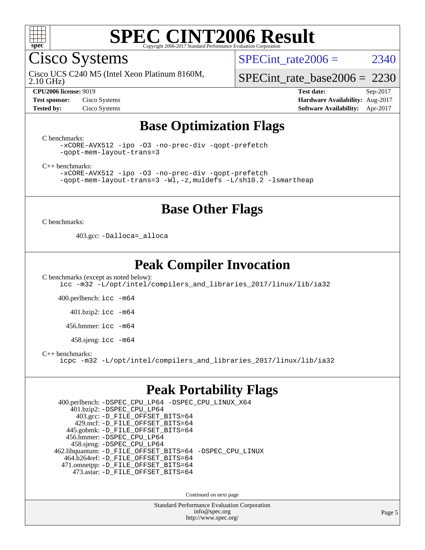

Cisco Systems

SPECint rate $2006 = 2340$ 

2.10 GHz) Cisco UCS C240 M5 (Intel Xeon Platinum 8160M,

[SPECint\\_rate\\_base2006 =](http://www.spec.org/auto/cpu2006/Docs/result-fields.html#SPECintratebase2006) 2230

**[CPU2006 license:](http://www.spec.org/auto/cpu2006/Docs/result-fields.html#CPU2006license)** 9019 **[Test date:](http://www.spec.org/auto/cpu2006/Docs/result-fields.html#Testdate)** Sep-2017 **[Test sponsor:](http://www.spec.org/auto/cpu2006/Docs/result-fields.html#Testsponsor)** Cisco Systems **[Hardware Availability:](http://www.spec.org/auto/cpu2006/Docs/result-fields.html#HardwareAvailability)** Aug-2017 **[Tested by:](http://www.spec.org/auto/cpu2006/Docs/result-fields.html#Testedby)** Cisco Systems **[Software Availability:](http://www.spec.org/auto/cpu2006/Docs/result-fields.html#SoftwareAvailability)** Apr-2017

### **[Base Optimization Flags](http://www.spec.org/auto/cpu2006/Docs/result-fields.html#BaseOptimizationFlags)**

[C benchmarks](http://www.spec.org/auto/cpu2006/Docs/result-fields.html#Cbenchmarks):

[-xCORE-AVX512](http://www.spec.org/cpu2006/results/res2017q4/cpu2006-20170919-50201.flags.html#user_CCbase_f-xCORE-AVX512) [-ipo](http://www.spec.org/cpu2006/results/res2017q4/cpu2006-20170919-50201.flags.html#user_CCbase_f-ipo) [-O3](http://www.spec.org/cpu2006/results/res2017q4/cpu2006-20170919-50201.flags.html#user_CCbase_f-O3) [-no-prec-div](http://www.spec.org/cpu2006/results/res2017q4/cpu2006-20170919-50201.flags.html#user_CCbase_f-no-prec-div) [-qopt-prefetch](http://www.spec.org/cpu2006/results/res2017q4/cpu2006-20170919-50201.flags.html#user_CCbase_f-qopt-prefetch) [-qopt-mem-layout-trans=3](http://www.spec.org/cpu2006/results/res2017q4/cpu2006-20170919-50201.flags.html#user_CCbase_f-qopt-mem-layout-trans_170f5be61cd2cedc9b54468c59262d5d)

[C++ benchmarks:](http://www.spec.org/auto/cpu2006/Docs/result-fields.html#CXXbenchmarks)

[-xCORE-AVX512](http://www.spec.org/cpu2006/results/res2017q4/cpu2006-20170919-50201.flags.html#user_CXXbase_f-xCORE-AVX512) [-ipo](http://www.spec.org/cpu2006/results/res2017q4/cpu2006-20170919-50201.flags.html#user_CXXbase_f-ipo) [-O3](http://www.spec.org/cpu2006/results/res2017q4/cpu2006-20170919-50201.flags.html#user_CXXbase_f-O3) [-no-prec-div](http://www.spec.org/cpu2006/results/res2017q4/cpu2006-20170919-50201.flags.html#user_CXXbase_f-no-prec-div) [-qopt-prefetch](http://www.spec.org/cpu2006/results/res2017q4/cpu2006-20170919-50201.flags.html#user_CXXbase_f-qopt-prefetch) [-qopt-mem-layout-trans=3](http://www.spec.org/cpu2006/results/res2017q4/cpu2006-20170919-50201.flags.html#user_CXXbase_f-qopt-mem-layout-trans_170f5be61cd2cedc9b54468c59262d5d) [-Wl,-z,muldefs](http://www.spec.org/cpu2006/results/res2017q4/cpu2006-20170919-50201.flags.html#user_CXXbase_link_force_multiple1_74079c344b956b9658436fd1b6dd3a8a) [-L/sh10.2 -lsmartheap](http://www.spec.org/cpu2006/results/res2017q4/cpu2006-20170919-50201.flags.html#user_CXXbase_SmartHeap_b831f2d313e2fffa6dfe3f00ffc1f1c0)

### **[Base Other Flags](http://www.spec.org/auto/cpu2006/Docs/result-fields.html#BaseOtherFlags)**

[C benchmarks](http://www.spec.org/auto/cpu2006/Docs/result-fields.html#Cbenchmarks):

403.gcc: [-Dalloca=\\_alloca](http://www.spec.org/cpu2006/results/res2017q4/cpu2006-20170919-50201.flags.html#b403.gcc_baseEXTRA_CFLAGS_Dalloca_be3056838c12de2578596ca5467af7f3)

### **[Peak Compiler Invocation](http://www.spec.org/auto/cpu2006/Docs/result-fields.html#PeakCompilerInvocation)**

[C benchmarks \(except as noted below\)](http://www.spec.org/auto/cpu2006/Docs/result-fields.html#Cbenchmarksexceptasnotedbelow): [icc -m32 -L/opt/intel/compilers\\_and\\_libraries\\_2017/linux/lib/ia32](http://www.spec.org/cpu2006/results/res2017q4/cpu2006-20170919-50201.flags.html#user_CCpeak_intel_icc_c29f3ff5a7ed067b11e4ec10a03f03ae)

400.perlbench: [icc -m64](http://www.spec.org/cpu2006/results/res2017q4/cpu2006-20170919-50201.flags.html#user_peakCCLD400_perlbench_intel_icc_64bit_bda6cc9af1fdbb0edc3795bac97ada53)

401.bzip2: [icc -m64](http://www.spec.org/cpu2006/results/res2017q4/cpu2006-20170919-50201.flags.html#user_peakCCLD401_bzip2_intel_icc_64bit_bda6cc9af1fdbb0edc3795bac97ada53)

456.hmmer: [icc -m64](http://www.spec.org/cpu2006/results/res2017q4/cpu2006-20170919-50201.flags.html#user_peakCCLD456_hmmer_intel_icc_64bit_bda6cc9af1fdbb0edc3795bac97ada53)

458.sjeng: [icc -m64](http://www.spec.org/cpu2006/results/res2017q4/cpu2006-20170919-50201.flags.html#user_peakCCLD458_sjeng_intel_icc_64bit_bda6cc9af1fdbb0edc3795bac97ada53)

[C++ benchmarks:](http://www.spec.org/auto/cpu2006/Docs/result-fields.html#CXXbenchmarks)

[icpc -m32 -L/opt/intel/compilers\\_and\\_libraries\\_2017/linux/lib/ia32](http://www.spec.org/cpu2006/results/res2017q4/cpu2006-20170919-50201.flags.html#user_CXXpeak_intel_icpc_8c35c7808b62dab9ae41a1aa06361b6b)

### **[Peak Portability Flags](http://www.spec.org/auto/cpu2006/Docs/result-fields.html#PeakPortabilityFlags)**

 400.perlbench: [-DSPEC\\_CPU\\_LP64](http://www.spec.org/cpu2006/results/res2017q4/cpu2006-20170919-50201.flags.html#b400.perlbench_peakCPORTABILITY_DSPEC_CPU_LP64) [-DSPEC\\_CPU\\_LINUX\\_X64](http://www.spec.org/cpu2006/results/res2017q4/cpu2006-20170919-50201.flags.html#b400.perlbench_peakCPORTABILITY_DSPEC_CPU_LINUX_X64) 401.bzip2: [-DSPEC\\_CPU\\_LP64](http://www.spec.org/cpu2006/results/res2017q4/cpu2006-20170919-50201.flags.html#suite_peakCPORTABILITY401_bzip2_DSPEC_CPU_LP64) 403.gcc: [-D\\_FILE\\_OFFSET\\_BITS=64](http://www.spec.org/cpu2006/results/res2017q4/cpu2006-20170919-50201.flags.html#user_peakPORTABILITY403_gcc_file_offset_bits_64_438cf9856305ebd76870a2c6dc2689ab) 429.mcf: [-D\\_FILE\\_OFFSET\\_BITS=64](http://www.spec.org/cpu2006/results/res2017q4/cpu2006-20170919-50201.flags.html#user_peakPORTABILITY429_mcf_file_offset_bits_64_438cf9856305ebd76870a2c6dc2689ab) 445.gobmk: [-D\\_FILE\\_OFFSET\\_BITS=64](http://www.spec.org/cpu2006/results/res2017q4/cpu2006-20170919-50201.flags.html#user_peakPORTABILITY445_gobmk_file_offset_bits_64_438cf9856305ebd76870a2c6dc2689ab) 456.hmmer: [-DSPEC\\_CPU\\_LP64](http://www.spec.org/cpu2006/results/res2017q4/cpu2006-20170919-50201.flags.html#suite_peakCPORTABILITY456_hmmer_DSPEC_CPU_LP64) 458.sjeng: [-DSPEC\\_CPU\\_LP64](http://www.spec.org/cpu2006/results/res2017q4/cpu2006-20170919-50201.flags.html#suite_peakCPORTABILITY458_sjeng_DSPEC_CPU_LP64) 462.libquantum: [-D\\_FILE\\_OFFSET\\_BITS=64](http://www.spec.org/cpu2006/results/res2017q4/cpu2006-20170919-50201.flags.html#user_peakPORTABILITY462_libquantum_file_offset_bits_64_438cf9856305ebd76870a2c6dc2689ab) [-DSPEC\\_CPU\\_LINUX](http://www.spec.org/cpu2006/results/res2017q4/cpu2006-20170919-50201.flags.html#b462.libquantum_peakCPORTABILITY_DSPEC_CPU_LINUX) 464.h264ref: [-D\\_FILE\\_OFFSET\\_BITS=64](http://www.spec.org/cpu2006/results/res2017q4/cpu2006-20170919-50201.flags.html#user_peakPORTABILITY464_h264ref_file_offset_bits_64_438cf9856305ebd76870a2c6dc2689ab) 471.omnetpp: [-D\\_FILE\\_OFFSET\\_BITS=64](http://www.spec.org/cpu2006/results/res2017q4/cpu2006-20170919-50201.flags.html#user_peakPORTABILITY471_omnetpp_file_offset_bits_64_438cf9856305ebd76870a2c6dc2689ab) 473.astar: [-D\\_FILE\\_OFFSET\\_BITS=64](http://www.spec.org/cpu2006/results/res2017q4/cpu2006-20170919-50201.flags.html#user_peakPORTABILITY473_astar_file_offset_bits_64_438cf9856305ebd76870a2c6dc2689ab)

Continued on next page

Standard Performance Evaluation Corporation [info@spec.org](mailto:info@spec.org) <http://www.spec.org/>

Page 5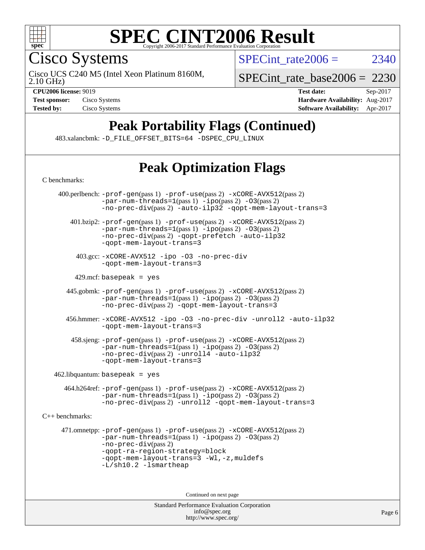

Cisco Systems

SPECint rate $2006 = 2340$ 

2.10 GHz) Cisco UCS C240 M5 (Intel Xeon Platinum 8160M,

[SPECint\\_rate\\_base2006 =](http://www.spec.org/auto/cpu2006/Docs/result-fields.html#SPECintratebase2006) 2230

**[CPU2006 license:](http://www.spec.org/auto/cpu2006/Docs/result-fields.html#CPU2006license)** 9019 **[Test date:](http://www.spec.org/auto/cpu2006/Docs/result-fields.html#Testdate)** Sep-2017 **[Test sponsor:](http://www.spec.org/auto/cpu2006/Docs/result-fields.html#Testsponsor)** Cisco Systems **[Hardware Availability:](http://www.spec.org/auto/cpu2006/Docs/result-fields.html#HardwareAvailability)** Aug-2017 **[Tested by:](http://www.spec.org/auto/cpu2006/Docs/result-fields.html#Testedby)** Cisco Systems **[Software Availability:](http://www.spec.org/auto/cpu2006/Docs/result-fields.html#SoftwareAvailability)** Apr-2017

# **[Peak Portability Flags \(Continued\)](http://www.spec.org/auto/cpu2006/Docs/result-fields.html#PeakPortabilityFlags)**

483.xalancbmk: [-D\\_FILE\\_OFFSET\\_BITS=64](http://www.spec.org/cpu2006/results/res2017q4/cpu2006-20170919-50201.flags.html#user_peakPORTABILITY483_xalancbmk_file_offset_bits_64_438cf9856305ebd76870a2c6dc2689ab) [-DSPEC\\_CPU\\_LINUX](http://www.spec.org/cpu2006/results/res2017q4/cpu2006-20170919-50201.flags.html#b483.xalancbmk_peakCXXPORTABILITY_DSPEC_CPU_LINUX)

# **[Peak Optimization Flags](http://www.spec.org/auto/cpu2006/Docs/result-fields.html#PeakOptimizationFlags)**

Standard Performance Evaluation Corporation [C benchmarks](http://www.spec.org/auto/cpu2006/Docs/result-fields.html#Cbenchmarks): 400.perlbench: [-prof-gen](http://www.spec.org/cpu2006/results/res2017q4/cpu2006-20170919-50201.flags.html#user_peakPASS1_CFLAGSPASS1_LDCFLAGS400_perlbench_prof_gen_e43856698f6ca7b7e442dfd80e94a8fc)(pass 1) [-prof-use](http://www.spec.org/cpu2006/results/res2017q4/cpu2006-20170919-50201.flags.html#user_peakPASS2_CFLAGSPASS2_LDCFLAGS400_perlbench_prof_use_bccf7792157ff70d64e32fe3e1250b55)(pass 2) [-xCORE-AVX512](http://www.spec.org/cpu2006/results/res2017q4/cpu2006-20170919-50201.flags.html#user_peakPASS2_CFLAGSPASS2_LDCFLAGS400_perlbench_f-xCORE-AVX512)(pass 2)  $-par-num-threads=1(pass 1) -ipo(pass 2) -O3(pass 2)$  $-par-num-threads=1(pass 1) -ipo(pass 2) -O3(pass 2)$  $-par-num-threads=1(pass 1) -ipo(pass 2) -O3(pass 2)$  $-par-num-threads=1(pass 1) -ipo(pass 2) -O3(pass 2)$  $-par-num-threads=1(pass 1) -ipo(pass 2) -O3(pass 2)$  $-par-num-threads=1(pass 1) -ipo(pass 2) -O3(pass 2)$ [-no-prec-div](http://www.spec.org/cpu2006/results/res2017q4/cpu2006-20170919-50201.flags.html#user_peakPASS2_CFLAGSPASS2_LDCFLAGS400_perlbench_f-no-prec-div)(pass 2) [-auto-ilp32](http://www.spec.org/cpu2006/results/res2017q4/cpu2006-20170919-50201.flags.html#user_peakCOPTIMIZE400_perlbench_f-auto-ilp32) [-qopt-mem-layout-trans=3](http://www.spec.org/cpu2006/results/res2017q4/cpu2006-20170919-50201.flags.html#user_peakCOPTIMIZE400_perlbench_f-qopt-mem-layout-trans_170f5be61cd2cedc9b54468c59262d5d) 401.bzip2: [-prof-gen](http://www.spec.org/cpu2006/results/res2017q4/cpu2006-20170919-50201.flags.html#user_peakPASS1_CFLAGSPASS1_LDCFLAGS401_bzip2_prof_gen_e43856698f6ca7b7e442dfd80e94a8fc)(pass 1) [-prof-use](http://www.spec.org/cpu2006/results/res2017q4/cpu2006-20170919-50201.flags.html#user_peakPASS2_CFLAGSPASS2_LDCFLAGS401_bzip2_prof_use_bccf7792157ff70d64e32fe3e1250b55)(pass 2) [-xCORE-AVX512](http://www.spec.org/cpu2006/results/res2017q4/cpu2006-20170919-50201.flags.html#user_peakPASS2_CFLAGSPASS2_LDCFLAGS401_bzip2_f-xCORE-AVX512)(pass 2) [-par-num-threads=1](http://www.spec.org/cpu2006/results/res2017q4/cpu2006-20170919-50201.flags.html#user_peakPASS1_CFLAGSPASS1_LDCFLAGS401_bzip2_par_num_threads_786a6ff141b4e9e90432e998842df6c2)(pass 1) [-ipo](http://www.spec.org/cpu2006/results/res2017q4/cpu2006-20170919-50201.flags.html#user_peakPASS2_CFLAGSPASS2_LDCFLAGS401_bzip2_f-ipo)(pass 2) [-O3](http://www.spec.org/cpu2006/results/res2017q4/cpu2006-20170919-50201.flags.html#user_peakPASS2_CFLAGSPASS2_LDCFLAGS401_bzip2_f-O3)(pass 2) [-no-prec-div](http://www.spec.org/cpu2006/results/res2017q4/cpu2006-20170919-50201.flags.html#user_peakPASS2_CFLAGSPASS2_LDCFLAGS401_bzip2_f-no-prec-div)(pass 2) [-qopt-prefetch](http://www.spec.org/cpu2006/results/res2017q4/cpu2006-20170919-50201.flags.html#user_peakCOPTIMIZE401_bzip2_f-qopt-prefetch) [-auto-ilp32](http://www.spec.org/cpu2006/results/res2017q4/cpu2006-20170919-50201.flags.html#user_peakCOPTIMIZE401_bzip2_f-auto-ilp32) [-qopt-mem-layout-trans=3](http://www.spec.org/cpu2006/results/res2017q4/cpu2006-20170919-50201.flags.html#user_peakCOPTIMIZE401_bzip2_f-qopt-mem-layout-trans_170f5be61cd2cedc9b54468c59262d5d) 403.gcc: [-xCORE-AVX512](http://www.spec.org/cpu2006/results/res2017q4/cpu2006-20170919-50201.flags.html#user_peakOPTIMIZE403_gcc_f-xCORE-AVX512) [-ipo](http://www.spec.org/cpu2006/results/res2017q4/cpu2006-20170919-50201.flags.html#user_peakOPTIMIZE403_gcc_f-ipo) [-O3](http://www.spec.org/cpu2006/results/res2017q4/cpu2006-20170919-50201.flags.html#user_peakOPTIMIZE403_gcc_f-O3) [-no-prec-div](http://www.spec.org/cpu2006/results/res2017q4/cpu2006-20170919-50201.flags.html#user_peakOPTIMIZE403_gcc_f-no-prec-div) [-qopt-mem-layout-trans=3](http://www.spec.org/cpu2006/results/res2017q4/cpu2006-20170919-50201.flags.html#user_peakCOPTIMIZE403_gcc_f-qopt-mem-layout-trans_170f5be61cd2cedc9b54468c59262d5d)  $429$ .mcf: basepeak = yes 445.gobmk: [-prof-gen](http://www.spec.org/cpu2006/results/res2017q4/cpu2006-20170919-50201.flags.html#user_peakPASS1_CFLAGSPASS1_LDCFLAGS445_gobmk_prof_gen_e43856698f6ca7b7e442dfd80e94a8fc)(pass 1) [-prof-use](http://www.spec.org/cpu2006/results/res2017q4/cpu2006-20170919-50201.flags.html#user_peakPASS2_CFLAGSPASS2_LDCFLAGSPASS2_LDFLAGS445_gobmk_prof_use_bccf7792157ff70d64e32fe3e1250b55)(pass 2) [-xCORE-AVX512](http://www.spec.org/cpu2006/results/res2017q4/cpu2006-20170919-50201.flags.html#user_peakPASS2_CFLAGSPASS2_LDCFLAGSPASS2_LDFLAGS445_gobmk_f-xCORE-AVX512)(pass 2)  $-par-num-threads=1(pass 1) -ipo(pass 2) -O3(pass 2)$  $-par-num-threads=1(pass 1) -ipo(pass 2) -O3(pass 2)$  $-par-num-threads=1(pass 1) -ipo(pass 2) -O3(pass 2)$  $-par-num-threads=1(pass 1) -ipo(pass 2) -O3(pass 2)$  $-par-num-threads=1(pass 1) -ipo(pass 2) -O3(pass 2)$  $-par-num-threads=1(pass 1) -ipo(pass 2) -O3(pass 2)$ [-no-prec-div](http://www.spec.org/cpu2006/results/res2017q4/cpu2006-20170919-50201.flags.html#user_peakPASS2_LDCFLAGS445_gobmk_f-no-prec-div)(pass 2) [-qopt-mem-layout-trans=3](http://www.spec.org/cpu2006/results/res2017q4/cpu2006-20170919-50201.flags.html#user_peakCOPTIMIZE445_gobmk_f-qopt-mem-layout-trans_170f5be61cd2cedc9b54468c59262d5d) 456.hmmer: [-xCORE-AVX512](http://www.spec.org/cpu2006/results/res2017q4/cpu2006-20170919-50201.flags.html#user_peakOPTIMIZE456_hmmer_f-xCORE-AVX512) [-ipo](http://www.spec.org/cpu2006/results/res2017q4/cpu2006-20170919-50201.flags.html#user_peakOPTIMIZE456_hmmer_f-ipo) [-O3](http://www.spec.org/cpu2006/results/res2017q4/cpu2006-20170919-50201.flags.html#user_peakOPTIMIZE456_hmmer_f-O3) [-no-prec-div](http://www.spec.org/cpu2006/results/res2017q4/cpu2006-20170919-50201.flags.html#user_peakOPTIMIZE456_hmmer_f-no-prec-div) [-unroll2](http://www.spec.org/cpu2006/results/res2017q4/cpu2006-20170919-50201.flags.html#user_peakCOPTIMIZE456_hmmer_f-unroll_784dae83bebfb236979b41d2422d7ec2) [-auto-ilp32](http://www.spec.org/cpu2006/results/res2017q4/cpu2006-20170919-50201.flags.html#user_peakCOPTIMIZE456_hmmer_f-auto-ilp32) [-qopt-mem-layout-trans=3](http://www.spec.org/cpu2006/results/res2017q4/cpu2006-20170919-50201.flags.html#user_peakCOPTIMIZE456_hmmer_f-qopt-mem-layout-trans_170f5be61cd2cedc9b54468c59262d5d) 458.sjeng: [-prof-gen](http://www.spec.org/cpu2006/results/res2017q4/cpu2006-20170919-50201.flags.html#user_peakPASS1_CFLAGSPASS1_LDCFLAGS458_sjeng_prof_gen_e43856698f6ca7b7e442dfd80e94a8fc)(pass 1) [-prof-use](http://www.spec.org/cpu2006/results/res2017q4/cpu2006-20170919-50201.flags.html#user_peakPASS2_CFLAGSPASS2_LDCFLAGS458_sjeng_prof_use_bccf7792157ff70d64e32fe3e1250b55)(pass 2) [-xCORE-AVX512](http://www.spec.org/cpu2006/results/res2017q4/cpu2006-20170919-50201.flags.html#user_peakPASS2_CFLAGSPASS2_LDCFLAGS458_sjeng_f-xCORE-AVX512)(pass 2) [-par-num-threads=1](http://www.spec.org/cpu2006/results/res2017q4/cpu2006-20170919-50201.flags.html#user_peakPASS1_CFLAGSPASS1_LDCFLAGS458_sjeng_par_num_threads_786a6ff141b4e9e90432e998842df6c2)(pass 1) [-ipo](http://www.spec.org/cpu2006/results/res2017q4/cpu2006-20170919-50201.flags.html#user_peakPASS2_CFLAGSPASS2_LDCFLAGS458_sjeng_f-ipo)(pass 2) [-O3](http://www.spec.org/cpu2006/results/res2017q4/cpu2006-20170919-50201.flags.html#user_peakPASS2_CFLAGSPASS2_LDCFLAGS458_sjeng_f-O3)(pass 2) [-no-prec-div](http://www.spec.org/cpu2006/results/res2017q4/cpu2006-20170919-50201.flags.html#user_peakPASS2_CFLAGSPASS2_LDCFLAGS458_sjeng_f-no-prec-div)(pass 2) [-unroll4](http://www.spec.org/cpu2006/results/res2017q4/cpu2006-20170919-50201.flags.html#user_peakCOPTIMIZE458_sjeng_f-unroll_4e5e4ed65b7fd20bdcd365bec371b81f) [-auto-ilp32](http://www.spec.org/cpu2006/results/res2017q4/cpu2006-20170919-50201.flags.html#user_peakCOPTIMIZE458_sjeng_f-auto-ilp32) [-qopt-mem-layout-trans=3](http://www.spec.org/cpu2006/results/res2017q4/cpu2006-20170919-50201.flags.html#user_peakCOPTIMIZE458_sjeng_f-qopt-mem-layout-trans_170f5be61cd2cedc9b54468c59262d5d)  $462$ .libquantum: basepeak = yes 464.h264ref: [-prof-gen](http://www.spec.org/cpu2006/results/res2017q4/cpu2006-20170919-50201.flags.html#user_peakPASS1_CFLAGSPASS1_LDCFLAGS464_h264ref_prof_gen_e43856698f6ca7b7e442dfd80e94a8fc)(pass 1) [-prof-use](http://www.spec.org/cpu2006/results/res2017q4/cpu2006-20170919-50201.flags.html#user_peakPASS2_CFLAGSPASS2_LDCFLAGS464_h264ref_prof_use_bccf7792157ff70d64e32fe3e1250b55)(pass 2) [-xCORE-AVX512](http://www.spec.org/cpu2006/results/res2017q4/cpu2006-20170919-50201.flags.html#user_peakPASS2_CFLAGSPASS2_LDCFLAGS464_h264ref_f-xCORE-AVX512)(pass 2) [-par-num-threads=1](http://www.spec.org/cpu2006/results/res2017q4/cpu2006-20170919-50201.flags.html#user_peakPASS1_CFLAGSPASS1_LDCFLAGS464_h264ref_par_num_threads_786a6ff141b4e9e90432e998842df6c2)(pass 1) [-ipo](http://www.spec.org/cpu2006/results/res2017q4/cpu2006-20170919-50201.flags.html#user_peakPASS2_CFLAGSPASS2_LDCFLAGS464_h264ref_f-ipo)(pass 2) [-O3](http://www.spec.org/cpu2006/results/res2017q4/cpu2006-20170919-50201.flags.html#user_peakPASS2_CFLAGSPASS2_LDCFLAGS464_h264ref_f-O3)(pass 2) [-no-prec-div](http://www.spec.org/cpu2006/results/res2017q4/cpu2006-20170919-50201.flags.html#user_peakPASS2_CFLAGSPASS2_LDCFLAGS464_h264ref_f-no-prec-div)(pass 2) [-unroll2](http://www.spec.org/cpu2006/results/res2017q4/cpu2006-20170919-50201.flags.html#user_peakCOPTIMIZE464_h264ref_f-unroll_784dae83bebfb236979b41d2422d7ec2) [-qopt-mem-layout-trans=3](http://www.spec.org/cpu2006/results/res2017q4/cpu2006-20170919-50201.flags.html#user_peakCOPTIMIZE464_h264ref_f-qopt-mem-layout-trans_170f5be61cd2cedc9b54468c59262d5d) [C++ benchmarks:](http://www.spec.org/auto/cpu2006/Docs/result-fields.html#CXXbenchmarks) 471.omnetpp: [-prof-gen](http://www.spec.org/cpu2006/results/res2017q4/cpu2006-20170919-50201.flags.html#user_peakPASS1_CXXFLAGSPASS1_LDCXXFLAGS471_omnetpp_prof_gen_e43856698f6ca7b7e442dfd80e94a8fc)(pass 1) [-prof-use](http://www.spec.org/cpu2006/results/res2017q4/cpu2006-20170919-50201.flags.html#user_peakPASS2_CXXFLAGSPASS2_LDCXXFLAGS471_omnetpp_prof_use_bccf7792157ff70d64e32fe3e1250b55)(pass 2) [-xCORE-AVX512](http://www.spec.org/cpu2006/results/res2017q4/cpu2006-20170919-50201.flags.html#user_peakPASS2_CXXFLAGSPASS2_LDCXXFLAGS471_omnetpp_f-xCORE-AVX512)(pass 2) [-par-num-threads=1](http://www.spec.org/cpu2006/results/res2017q4/cpu2006-20170919-50201.flags.html#user_peakPASS1_CXXFLAGSPASS1_LDCXXFLAGS471_omnetpp_par_num_threads_786a6ff141b4e9e90432e998842df6c2)(pass 1) [-ipo](http://www.spec.org/cpu2006/results/res2017q4/cpu2006-20170919-50201.flags.html#user_peakPASS2_CXXFLAGSPASS2_LDCXXFLAGS471_omnetpp_f-ipo)(pass 2) [-O3](http://www.spec.org/cpu2006/results/res2017q4/cpu2006-20170919-50201.flags.html#user_peakPASS2_CXXFLAGSPASS2_LDCXXFLAGS471_omnetpp_f-O3)(pass 2) [-no-prec-div](http://www.spec.org/cpu2006/results/res2017q4/cpu2006-20170919-50201.flags.html#user_peakPASS2_CXXFLAGSPASS2_LDCXXFLAGS471_omnetpp_f-no-prec-div)(pass 2) [-qopt-ra-region-strategy=block](http://www.spec.org/cpu2006/results/res2017q4/cpu2006-20170919-50201.flags.html#user_peakCXXOPTIMIZE471_omnetpp_f-qopt-ra-region-strategy_430aa8f7c220cbde92ae827fa8d9be32)  [-qopt-mem-layout-trans=3](http://www.spec.org/cpu2006/results/res2017q4/cpu2006-20170919-50201.flags.html#user_peakCXXOPTIMIZE471_omnetpp_f-qopt-mem-layout-trans_170f5be61cd2cedc9b54468c59262d5d) [-Wl,-z,muldefs](http://www.spec.org/cpu2006/results/res2017q4/cpu2006-20170919-50201.flags.html#user_peakEXTRA_LDFLAGS471_omnetpp_link_force_multiple1_74079c344b956b9658436fd1b6dd3a8a) [-L/sh10.2 -lsmartheap](http://www.spec.org/cpu2006/results/res2017q4/cpu2006-20170919-50201.flags.html#user_peakEXTRA_LIBS471_omnetpp_SmartHeap_b831f2d313e2fffa6dfe3f00ffc1f1c0) Continued on next page

> [info@spec.org](mailto:info@spec.org) <http://www.spec.org/>